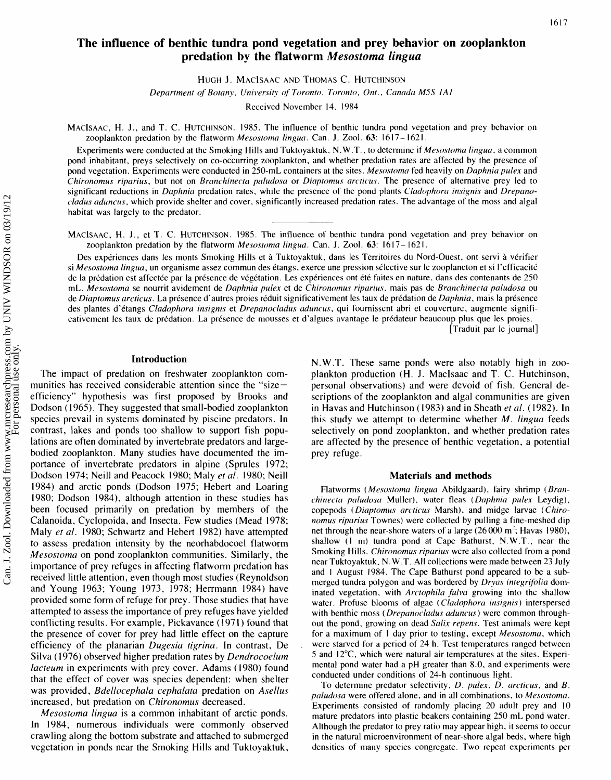# **The influence of benthic tundra pond vegetation and prey behavior on zooplankton predation by the flatworm** *Mesostoma lingua*

HUGH J. MACISAAC AND THOMAS C. HUTCHINSON

*Department of Botany, universih* **of** *Toronto, Toronto, Ont., Canada M5S IAI* 

Received November 14. 1984

MACISAAC, H.J., and T. C. HUTCHINSON. 1985. The influence of benthic tundra pond vegetation and prey behavior on zooplankton predation by the flatworm *Mesostoma lingua.* Can. J. Zool. **63:** 16 17- 162 1 .

Experiments were conducted at the Smoking Hills and Tuktoyaktuk. N.W.T., to determine if *Mrsostoma lingua,* a common pond inhabitant, preys selectively on co-occurring zooplankton, and whether predation rates are affected by the presence of pond vegetation. Experiments were conducted in 250-mL containers at the sites. *Mesostomcr* fed heavily on *Daphnia pulex* and *Chironomus riparius,* but not on *Branchinecta paludosa* or *Diaptomus arcticus*. The presence of alternative prey led to significant reductions in *Daphnia* predation rates, while the presence of the pond plants *Cladophora insignis* and *Drepanocladus aduncus,* which provide shelter and cover, significantly increased predation rates. The advantage of the moss and algal habitat was largely to the predator.

MACISAAC, H.J., et T. C. HUTCHINSON. 1985. The influence of benthic tundra pond vegetation and prey behavior on zooplankton predation by the flatworm *Mesostoma lingua.* Can. J. Zool. **63:** 16 17 - <sup>162</sup>**1** .

Des expériences dans les monts Smoking Hills et à Tuktoyaktuk, dans les Territoires du Nord-Ouest, ont servi à vérifier si *Mesostoma lingua,* un organisme assez commun des etangs, exerce une pression selective sur le zooplancton et si I'efficacite de la prédation est affectée par la présence de végétation. Les expériences ont été faites en nature, dans des contenants de 250 mL. *Mesostoma* se nourrit avidement de *Daphnia pulex* et de *Chironomus riparius*, mais pas de *Branchinecta paludosa* ou de *Diaptomus arcticus.* La presence d'autres proies reduit significativement les taux de predation de *Daphnia,* mais la presence des plantes d'étangs *Cladophora insignis* et *Drepanocladus aduncus*, qui fournissent abri et couverture, augmente significativement les taux de prédation. La présence de mousses et d'algues avantage le prédateur beaucoup plus que les proies. [Traduit par le journal]

#### **Introduction**

The impact of predation on freshwater zooplankton communities has received considerable attention since the "sizeefficiency" hypothesis was first proposed by Brooks and Dodson ( 1965). They suggested that small-bodied zooplankton species prevail in systems dominated by piscine predators. In contrast, lakes and ponds too shallow to support fish populations are often dominated by invertebrate predators and largebodied zooplankton. Many studies have documented the importance of invertebrate predators in alpine (Sprules 1972; Dodson 1974; Neill and Peacock 1980; Maly *et ul.* 1980; Neill 1984) and arctic ponds (Dodson 1975; Hebert and Loaring 1980; Dodson 1984), although attention in these studies has been focused primarily on predation by members of the Calanoida, Cyclopoida, and Insecta. Few studies (Mead 1978; Maly *et al.* 1980; Schwartz and Hebert 1982) have attempted to assess predation intensity by the neorhabdocoel flatworm *Mesostoma* on pond zooplankton communities. Similarly, the importance of prey refuges in affecting flatworm predation has received little attention, even though most studies (Reynoldson and Young 1963; Young 1973, 1978; Herrmann 1984) have provided some form of refuge for prey. Those studies that have attempted to assess the importance of prey refuges have yielded conflicting results. For example, Pickavance ( 197 **1** ) found that the presence of cover for prey had little effect on the capture efficiency of the planarian *Dugesiu tigrina.* In contrast, De . Silva ( 1976) observed higher predation rates by *Dendrocoelum lacteum* in experiments with prey cover. Adams (1980) found that the effect of cover was species dependent: when shelter was provided, *Bdellocephala cephalatu* predation on *Asellus*  increased, but predation on *Chironomus* decreased.

*Mesostoma lingua* is a common inhabitant of arctic ponds. In 1984, numerous individuals were commonly observed crawling along the bottom substrate and attached to submerged vegetation in ponds near the Smoking Hills and Tuktoyaktuk,

N.W.T. These same ponds were also notably high in zooplankton production (H. J. Maclsaac and T. C. Hutchinson, personal observations) and were devoid of fish. General descriptions of the zooplankton and algal communities are given in Havas and Hutchinson (1983) and in Sheath *et al.* (1982). In this study we attempt to determine whether *M. lingua* feeds selectively on pond zooplankton, and whether predation rates are affected by the presence of benthic vegetation, a potential prey refuge.

#### **Materials and methods**

Flatworms *(Mesostoma lingua Abildgaard)*, *fairy shrimp (Branchinecta pclludoscl* Muller), water fleas *(Duphnicl pulex* Leydig), copepods (Diaptomus arcticus Marsh), and midge larvae (Chiro*nomus riparius* Townes) were collected by pulling a fine-meshed dip net through the near-shore waters of a large  $(26000 \text{ m}^2)$ ; Havas 1980), shallow (I m) tundra pond at Cape Bathurst, N.W.T., near the Smoking Hills. *Chironomus riparius* were also collected from a pond near Tuktoyaktuk, N.W.T. All collections were made between 23 July and I August 1984. The Cape Bathurst pond appeared to be a submerged tundra polygon and was bordered by *Dryas integrifolia* dominated vegetation, with *Arctophila fulva* growing into the shallow water. Profuse blooms of algae *(Cladophora insignis)* interspersed with benthic moss (*Drepanocladus aduncus*) were common throughout the pond, growing on dead *Salix repens.* Test animals were kept for a maximum of I day prior to testing, except *Mesostoma,* which were starved for a period of 24 h. Test temperatures ranged between 5 and 12"C, which were natural air temperatures at the sites. Experimental pond water had a pH greater than 8.0, and experiments were conducted under conditions of 24-h continuous light.

To determine predator selectivity, *D. pulex. D. arcticus,* and *B. paludosa* were offered alone, and in all combinations, to *Mesostoma.*  Experiments consisted of randomly placing 20 adult prey and 10 mature predators into plastic beakers containing 250 mL pond water. Although the predator to prey ratio may appear high, it seems to occur in the natural microenvironment of near-shore algal beds, where high densities of many species congregate. Two repeat experiments per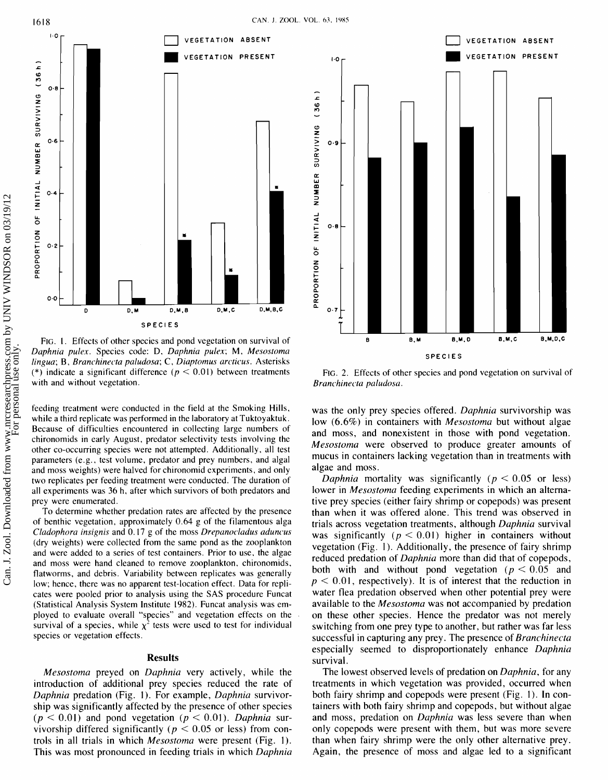

FIG. I. Effects of other species and pond vegetation on survival of Daphnia pulex. Species code: D, Daphnia pulex; M, Mesostoma  $lingua$ ; B, Branchinecta paludosa; C, Diaptomus arcticus. Asterisks (\*) indicate a significant difference ( $p < 0.01$ ) between treatments with and without vegetation.

feeding treatment were conducted in the field at the Smoking Hills, while a third replicate was performed in the laboratory at Tuktoyaktuk. Because of difficulties encountered in collecting large numbers of chironomids in early August, predator selectivity tests involving the other co-occurring species were not attempted. Additionally, all test parameters (e.g., test volume, predator and prey numbers, and algal and moss weights) were halved for chironomid experiments, and only two replicates per feeding treatment were conducted. The duration of all experiments was 36 h, after which survivors of both predators and prey were enumerated.

To determine whether predation rates are affected by the presence of benthic vegetation, approximately 0.64 g of the filamentous alga  $C$ ladophora insignis and  $0.17$  g of the moss Drepanocladus aduncus (dry weights) were collected from the same pond as the zooplankton and were added to a series of test containers. Prior to use, the algae and moss were hand cleaned to remove zooplankton, chironomids, flatworms, and debris. Variability between replicates was generally low; hence, there was no apparent test-location effect. Data for replicates were pooled prior to analysis using the SAS procedure Funcat (Statistical Analysis System Institute 1982). Funcat analysis was employed to evaluate overall "species" and vegetation effects on the survival of a species, while  $\chi^2$  tests were used to test for individual species or vegetation effects.

## **Results**

Mesostoma preyed on Duphnia very actively, while the introduction of additional prey species reduced the rate of Daphnia predation (Fig. 1). For example, Daphnia survivorship was significantly affected by the presence of other species  $(p < 0.01)$  and pond vegetation  $(p < 0.01)$ . Daphnia survivorship differed significantly ( $p < 0.05$  or less) from controls in all trials in which Mesostoma were present (Fig. 1). This was most pronounced in feeding trials in which *Daphnia* 



FIG. 2. Effects of other species and pond vegetation on survival of Branchinecta paludosa.

was the only prey species offered. Daphnia survivorship was low  $(6.6\%)$  in containers with *Mesostoma* but without algae and moss, and nonexistent in those with pond vegetation. Mesostoma were observed to produce greater amounts of mucus in containers lacking vegetation than in treatments with algae and moss.

Daphnia mortality was significantly ( $p < 0.05$  or less) lower in *Mesostoma* feeding experiments in which an alternative prey species (either fairy shrimp or copepods) was present than when it was offered alone. This trend was observed in trials across vegetation treatments, although Daphnia survival was significantly ( $p < 0.01$ ) higher in containers without vegetation (Fig. 1). Additionally, the presence of fairy shrimp reduced predation of Daphnia more than did that of copepods, both with and without pond vegetation ( $p < 0.05$  and  $p < 0.01$ , respectively). It is of interest that the reduction in water flea predation observed when other potential prey were available to the *Mesostoma* was not accompanied by predation on these other species. Hence the predator was not merely switching from one prey type to another, but rather was far less successful in capturing any prey. The presence of Branchinecta especially seemed to disproportionately enhance Daphnia survival.

The lowest observed levels of predation on *Daphnia*, for any treatments in which vegetation was provided, occurred when both fairy shrimp and copepods were present (Fig. 1). In containers with both fairy shrimp and copepods, but without algae and moss, predation on *Daphnia* was less severe than when only copepods were present with them, but was more severe than when fairy shrimp were the only other alternative prey. Again, the presence of moss and algae led to a significant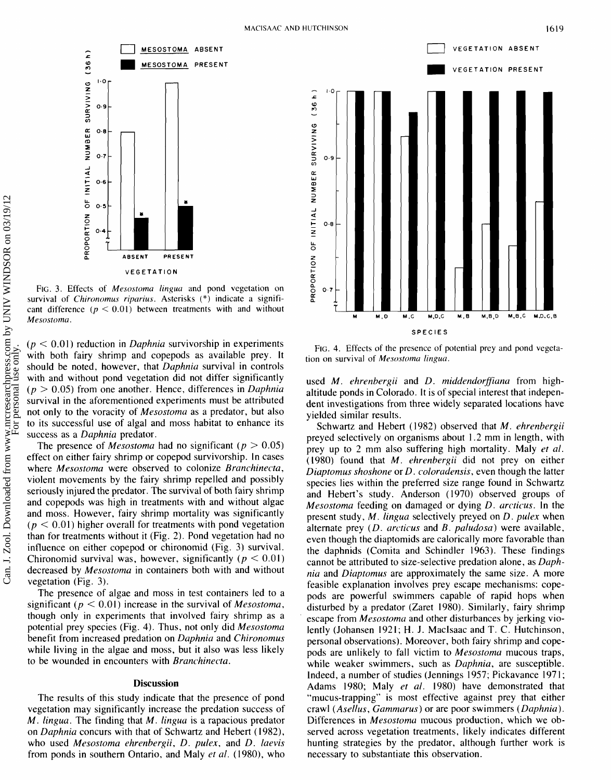

FIG. 3. Effects of *Mesostoma lingua* and pond vegetation on survival of *Chironomus riparius*. Asterisks (\*) indicate a significant difference  $(p < 0.01)$  between treatments with and without *Mesostoma.* 

 $(p < 0.01)$  reduction in *Daphnia* survivorship in experiments with both fairy shrimp and copepods as available prey. It should be noted, however, that Daphnia survival in controls with and without pond vegetation did not differ significantly  $(p > 0.05)$  from one another. Hence, differences in Daphnia survival in the aforementioned experiments must be attributed not only to the voracity of Mesostoma as a predator, but also to its successful use of algal and moss habitat to enhance its success as a *Daphnia* predator.

The presence of *Mesostoma* had no significant ( $p > 0.05$ ) effect on either fairy shrimp or copepod survivorship. In cases where *Mesostoma* were observed to colonize *Branchinecta*, violent movements by the fairy shrimp repelled and possibly seriously injured the predator. The survival of both fairy shrimp and copepods was high in treatments with and without algae and moss. However, fairy shrimp mortality was significantly  $(p < 0.01)$  higher overall for treatments with pond vegetation than for treatments without it (Fig. 2). Pond vegetation had no influence on either copepod or chironomid (Fig. 3) survival. Chironomid survival was, however, significantly ( $p < 0.01$ ) decreased by Mesostoma in containers both with and without vegetation (Fig. 3).

The presence of algae and moss in test containers led to a significant ( $p < 0.01$ ) increase in the survival of *Mesostoma*, though only in experiments that involved fairy shrimp as a potential prey species (Fig. 4). Thus, not only did Mesostoma benefit from increased predation on Daphnia and Chironomus while living in the algae and moss, but it also was less likely to be wounded in encounters with Branchinecta.

## **Discussion**

The results of this study indicate that the presence of pond vegetation may significantly increase the predation success of  $M$ . lingua. The finding that  $M$ . lingua is a rapacious predator on Daphnia concurs with that of Schwartz and Hebert (1982), who used Mesostoma ehrenbergii, D. pulex, and D. laevis from ponds in southern Ontario, and Maly et al. (1980), who



**FIG. 4. Effects of the presence of potential prey and pond vegeta**tion on survival of *Mesostoma lingua*.

used M. ehrenbergii and D. middendorffiana from highaltitude ponds in Colorado. It is of special interest that independent investigations from three widely separated locations have yielded similar results.

Schwartz and Hebert (1982) observed that M. ehrenbergii preyed selectively on organisms about 1.2 mm in length, with prey up to 2 mm also suffering high mortality. Maly et al. (1980) found that M. ehrenbergii did not prey on either Diaptomus shoshone or D. coloradensis, even though the latter species lies within the preferred size range found in Schwartz and Hebert's study. Anderson (1970) observed groups of Mesostoma feeding on damaged or dying D. arcticus. In the present study, M. lingua selectively preyed on D. pulex when alternate prey  $(D.$  arcticus and  $B.$  paludosa) were available, even though the diaptomids are calorically more favorable than the daphnids (Comita and Schindler 1963). These findings cannot be attributed to size-selective predation alone, as Daphnia and Diaptomus are approximately the same size. A more feasible explanation involves prey escape mechanisms: copepods are powerful swimmers capable of rapid hops when disturbed by a predator (Zaret 1980). Similarly, fairy shrimp escape from *Mesostoma* and other disturbances by jerking violently (Johansen 1921; H. J. MacIsaac and T. C. Hutchinson, personal observations). Moreover, both fairy shrimp and copepods are unlikely to fall victim to Mesostoma mucous traps, while weaker swimmers, such as *Daphnia*, are susceptible. Indeed, a number of studies (Jennings 1957; Pickavance 1971; Adams 1980; Maly et al. 1980) have demonstrated that "mucus-trapping" is most effective against prey that either crawl (Asellus, Cammarus) or are poor swimmers (Daphnia). Differences in *Mesostoma* mucous production, which we observed across vegetation treatments, likely indicates different hunting strategies by the predator, although further work is necessary to substantiate this observation.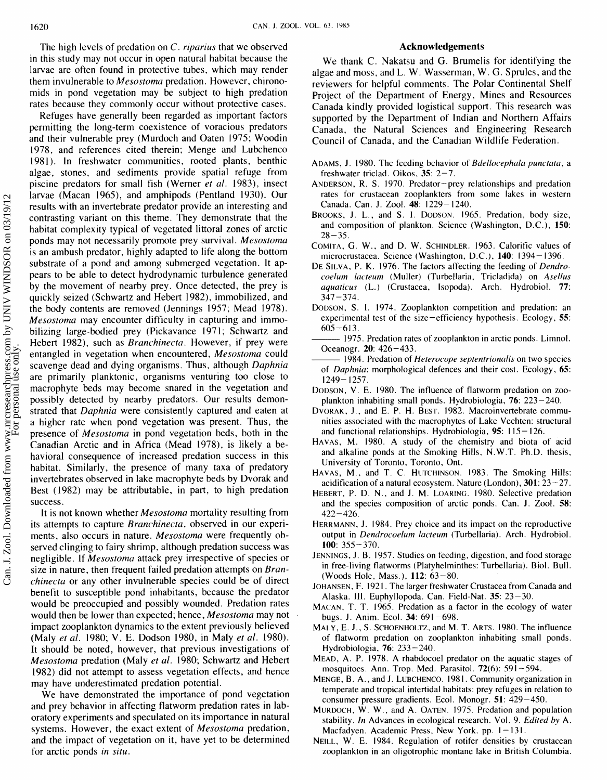The high levels of predation on C. *riparius* that we observed **Acknowledgements Acknowledgements** in this study may not occur in open natural habitat because the larvae are often found in protective tubes, which may render them invulnerable to *Mesostoma* predation. However, chironomids in pond vegetation may be subject to high predation rates because they commonly occur without protective cases.

Refuges have generally been regarded as important factors permitting the long-term coexistence of voracious predators and their vulnerable prey (Murdoch and Oaten 1975; Woodin 1978, and references cited therein; Menge and Lubchenco 1981). In freshwater communities, rooted plants, benthic algae, stones, and sediments provide spatial refuge from piscine predators for small fish (Werner *et al.* 1983), insect larvae (Macan 1965), and amphipods (Pentland 1930). Our results with an invertebrate predator provide an interesting and contrasting variant on this theme. They demonstrate that the habitat complexity typical of vegetated littoral zones of arctic ponds may not necessarily promote prey survival. *Mesostoma*  is an ambush predator, highly adapted to life along the bottom substrate of a pond and among submerged vegetation. It appears to be able to detect hydrodynamic turbulence generated by the movement of nearby prey. Once detected, the prey is quickly seized (Schwartz and Hebert 1982), immobilized, and the body contents are removed (Jennings 1957; Mead 1978). *Mesostoma* may encounter difficulty in capturing and immobilizing large-bodied prey (Pickavance 1971; Schwartz and Hebert 1982), such as *Branchinecta.* However, if prey were entangled in vegetation when encountered, *Mesostoma* could scavenge dead and dying organisms. Thus, although *Daphnia*  are primarily planktonic, organisms venturing too close to macrophyte beds may become snared in the vegetation and possibly detected by nearby predators. Our results demonstrated that *Daphnia* were consistently captured and eaten at a higher rate when pond vegetation was present. Thus, the presence of *Mesostoma* in pond vegetation beds, both in the Canadian Arctic and in Africa (Mead 1978), is likely a behavioral consequence of increased predation success in this habitat. Similarly, the presence of many taxa of predatory invertebrates observed in lake macrophyte beds by Dvorak and Best (1982) may be attributable, in part, to high predation success.

It is not known whether *Mesostoma* mortality resulting from its attempts to capture *Branchinecta,* observed in our experiments, also occurs in nature. *Mesostoma* were frequently observed clinging to fairy shrimp, although predation success was negligible. If *Mesostoma* attack prey irrespective of species or size in nature, then frequent failed predation attempts on *Branchinecta* or any other invulnerable species could be of direct benefit to susceptible pond inhabitants, because the predator would be preoccupied and possibly wounded. Predation rates would then be lower than expected; hence, *Mesostoma* may not . impact zooplankton dynamics to the extent previously believed (Maly *et al.* 1980; *V.* E. Dodson 1980, in Maly *et al.* 1980). It should be noted, however, that previous investigations of *Mesostoma* predation (Maly *et al.* 1980; Schwartz and Hebert 1982) did not attempt to assess vegetation effects, and hence may have underestimated predation potential.

We have demonstrated the importance of pond vegetation and prey behavior in affecting flatworm predation rates in laboratory experiments and speculated on its importance in natural systems. However, the exact extent of *Mesostoma* predation, and the impact of vegetation on it, have yet to be determined for arctic ponds *in situ.* 

We thank C. Nakatsu and G. Brumelis for identifying the algae and moss, and L. W. Wasserman, W. G. Sprules, and the reviewers for helpful comments. The Polar Continental Shelf Project of the Department of Energy, Mines and Resources Canada kindly provided logistical support. This research was supported by the Department of Indian and Northern Affairs Canada, the Natural Sciences and Engineering Research Council of Canada, and the Canadian Wildlife Federation.

- ADAMS, J. 1980. The feeding behavior of *Bdellocephala punctata*, a freshwater triclad. Oikos,  $35: 2-7$ .
- ANDERSON, R. S. 1970. Predator-prey relationships and predation rates for crustacean zooplankters from some lakes in western Canada. Can. J. Zool. 48: 1229- 1240.
- BROOKS, J. L., and S. I. DODSON. 1965. Predation, body size, and composition of plankton. Science (Washington, D.C.), 150:  $28 - 35$ .
- COMITA, *G.* W., and D. W. SCHINDLER. 1963. Calorific values of microcrustacea. Science (Washington, D.C.), 140: 1394- 1396.
- DE SILVA, P. K. 1976. The factors affecting the feeding of Dendrocoelum lacteum (Muller) (Turbellaria, Tricladida) on Asellus aquaticus (L.) (Crustacea, Isopoda). Arch. Hydrobiol. 77:  $347 - 374$ .
- DODSON, S. **1.** 1974. Zooplankton competition and predation: an experimental test of the size  $-$ efficiency hypothesis. Ecology,  $55$ :  $605 - 613$ .
- 1975. Predation rates of zooplankton in arctic ponds. Limnol. Oceanogr. 20: 426-433.
- 1984. Predation of *Heterocope septentrionalis* on two species of *Daphnia*: morphological defences and their cost. Ecology, 65:  $1249 - 1257$ .
- DODSON, V. E. 1980. The influence of flatworm predation on zooplankton inhabiting small ponds. Hydrobiologia, 76: 223-240.
- DVORAK, J., and E. P. H. BEST. 1982. Macroinvertebrate communities associated with the macrophytes of Lake Vechten: structural and functional relationships. Hydrobiologia,  $95$ :  $115 - 126$ .
- HAVAS, M. 1980. A study of the chemistry and biota of acid and alkaline ponds at the Smoking Hills, N.W.T. Ph.D. thesis, University of Toronto, Toronto, Ont.
- HAVAS, M., and T. C. HUTCHINSON. 1983. The Smoking Hills: acidification of a natural ecosystem. Nature (London),  $301: 23-27$ .
- HEBERT, P.D. N., and J. M. LOARINC. 1980. Selective predation and the species composition of arctic ponds. Can. J. Zool. 58:  $422 - 426$ .
- HERRMANN, J. 1984. Prey choice and its impact on the reproductive output in *Dendrocoelum lacteum* (Turbellaria). Arch. Hydrobiol. 100: 355 - 370.
- JENNINCS, J. B. 1957. Studies on feeding, digestion, and food storage in free-living flatworms (Platyhelminthes: Turbellaria). Biol. Bull. (Woods Hole, Mass.), 112: 63-80.
- JOHANSEN, F. 1921. The larger freshwater Crustacea from Canada and Alaska. 111. Euphyllopoda. Can. Field-Nat. 35: 23-30.
- MACAN, T. T. 1965. Predation as a factor in the ecology of water bugs. J. Anim. Ecol. 34: 691-698.
- MALY, E. J., S. SCHOENHOLTZ, and M. T. ARTS. 1980. The influence of flatworm predation on zooplankton inhabiting small ponds. Hydrobiologia, 76: 233-240.
- MEAD, A. P. 1978. A rhabdocoel predator on the aquatic stages of mosquitoes. Ann. Trop. Med. Parasitol.  $72(6)$ : 591-594.
- MENCE, B. A., and J. LUBCHENCO. 1981. Community organization in temperate and tropical intertidal habitats: prey refuges in relation to consumer pressure gradients. Ecol. Monogr. 51: 429-450.
- MURDOCH, W. W., and A. OATEN. 1975. Predation and population stability. In Advances in ecological research. Vol. 9. Edited by A. Macfadyen. Academic Press, New York. pp. 1-131.
- NEILL, W. E. 1984. Regulation of rotifer densities by crustacean zooplankton in an oligotrophic montane lake in British Columbia.